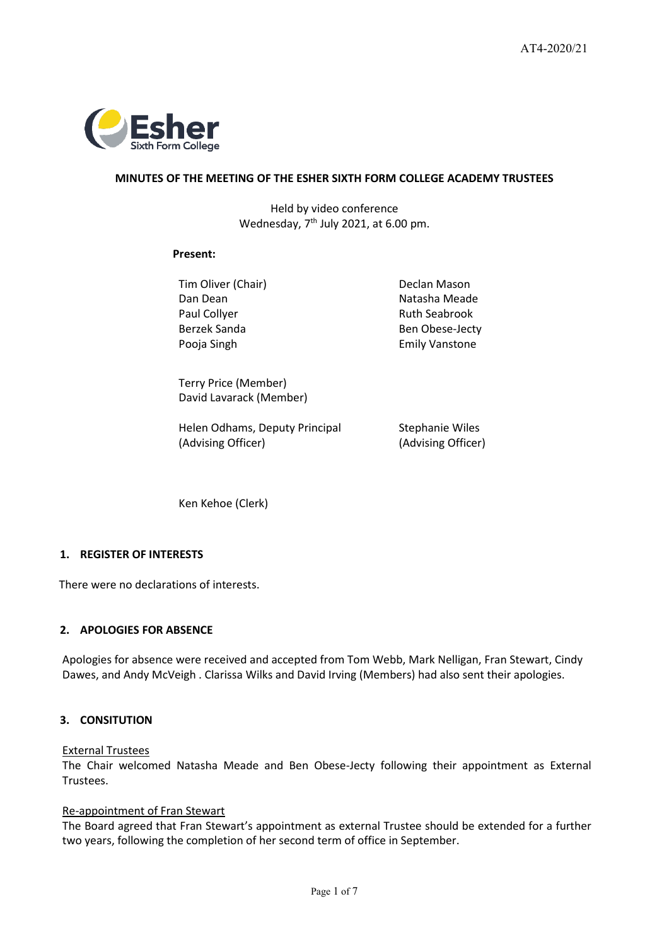

# **MINUTES OF THE MEETING OF THE ESHER SIXTH FORM COLLEGE ACADEMY TRUSTEES**

Held by video conference Wednesday,  $7<sup>th</sup>$  July 2021, at 6.00 pm.

### **Present:**

Tim Oliver (Chair) **Declan Mason** Dan Dean Natasha Meade Paul Collyer **Ruth Seabrook** Ruth Seabrook Pooja Singh **Emily Vanstone** 

Berzek Sanda Ben Obese-Jecty

Terry Price (Member) David Lavarack (Member)

Helen Odhams, Deputy Principal (Advising Officer)

Stephanie Wiles (Advising Officer)

Ken Kehoe (Clerk)

# **1. REGISTER OF INTERESTS**

There were no declarations of interests.

# **2. APOLOGIES FOR ABSENCE**

Apologies for absence were received and accepted from Tom Webb, Mark Nelligan, Fran Stewart, Cindy Dawes, and Andy McVeigh . Clarissa Wilks and David Irving (Members) had also sent their apologies.

# **3. CONSITUTION**

#### External Trustees

The Chair welcomed Natasha Meade and Ben Obese-Jecty following their appointment as External Trustees.

### Re-appointment of Fran Stewart

The Board agreed that Fran Stewart's appointment as external Trustee should be extended for a further two years, following the completion of her second term of office in September.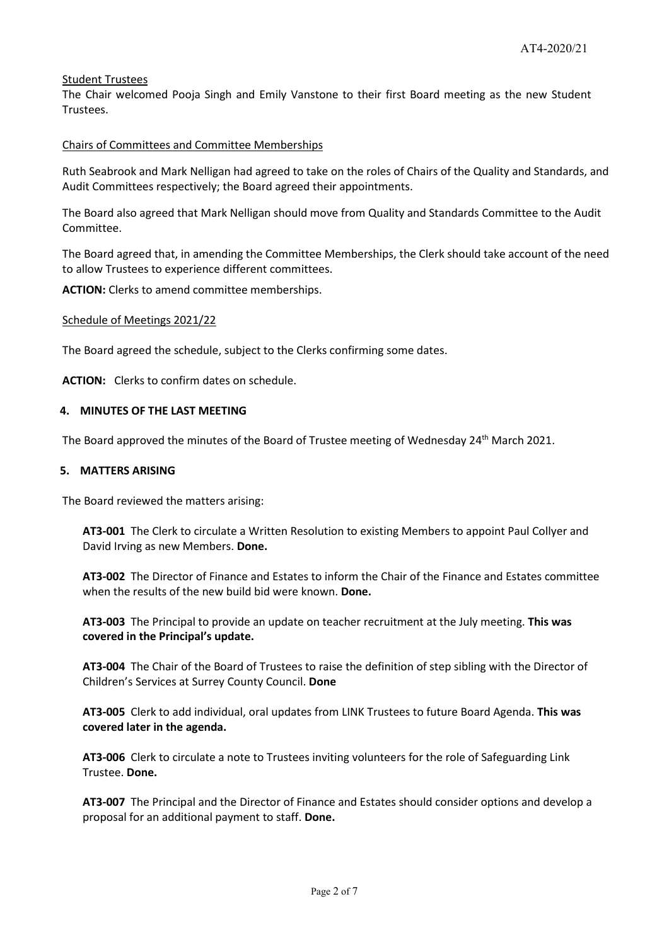# Student Trustees

The Chair welcomed Pooja Singh and Emily Vanstone to their first Board meeting as the new Student Trustees.

# Chairs of Committees and Committee Memberships

Ruth Seabrook and Mark Nelligan had agreed to take on the roles of Chairs of the Quality and Standards, and Audit Committees respectively; the Board agreed their appointments.

The Board also agreed that Mark Nelligan should move from Quality and Standards Committee to the Audit Committee.

The Board agreed that, in amending the Committee Memberships, the Clerk should take account of the need to allow Trustees to experience different committees.

**ACTION:** Clerks to amend committee memberships.

#### Schedule of Meetings 2021/22

The Board agreed the schedule, subject to the Clerks confirming some dates.

**ACTION:** Clerks to confirm dates on schedule.

### **4. MINUTES OF THE LAST MEETING**

The Board approved the minutes of the Board of Trustee meeting of Wednesday 24<sup>th</sup> March 2021.

### **5. MATTERS ARISING**

The Board reviewed the matters arising:

**AT3-001** The Clerk to circulate a Written Resolution to existing Members to appoint Paul Collyer and David Irving as new Members. **Done.**

**AT3-002** The Director of Finance and Estates to inform the Chair of the Finance and Estates committee when the results of the new build bid were known. **Done.**

**AT3-003** The Principal to provide an update on teacher recruitment at the July meeting. **This was covered in the Principal's update.**

**AT3-004** The Chair of the Board of Trustees to raise the definition of step sibling with the Director of Children's Services at Surrey County Council. **Done**

**AT3-005** Clerk to add individual, oral updates from LINK Trustees to future Board Agenda. **This was covered later in the agenda.**

**AT3-006** Clerk to circulate a note to Trustees inviting volunteers for the role of Safeguarding Link Trustee. **Done.** 

**AT3-007** The Principal and the Director of Finance and Estates should consider options and develop a proposal for an additional payment to staff. **Done.**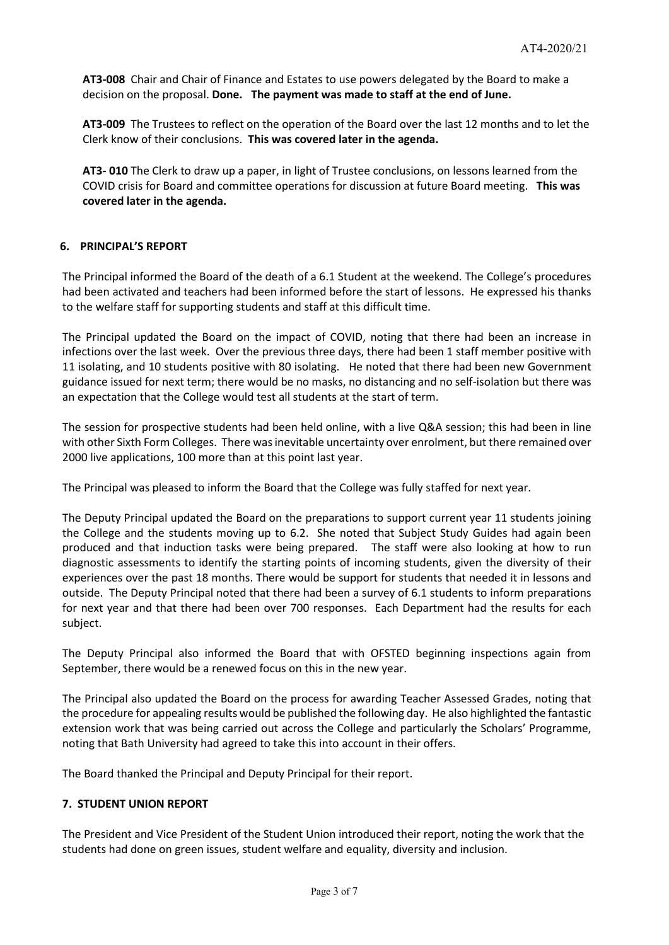**AT3-008** Chair and Chair of Finance and Estates to use powers delegated by the Board to make a decision on the proposal. **Done. The payment was made to staff at the end of June.**

**AT3-009** The Trustees to reflect on the operation of the Board over the last 12 months and to let the Clerk know of their conclusions. **This was covered later in the agenda.**

**AT3- 010** The Clerk to draw up a paper, in light of Trustee conclusions, on lessons learned from the COVID crisis for Board and committee operations for discussion at future Board meeting. **This was covered later in the agenda.**

# **6. PRINCIPAL'S REPORT**

The Principal informed the Board of the death of a 6.1 Student at the weekend. The College's procedures had been activated and teachers had been informed before the start of lessons. He expressed his thanks to the welfare staff for supporting students and staff at this difficult time.

The Principal updated the Board on the impact of COVID, noting that there had been an increase in infections over the last week. Over the previous three days, there had been 1 staff member positive with 11 isolating, and 10 students positive with 80 isolating. He noted that there had been new Government guidance issued for next term; there would be no masks, no distancing and no self-isolation but there was an expectation that the College would test all students at the start of term.

The session for prospective students had been held online, with a live Q&A session; this had been in line with other Sixth Form Colleges. There was inevitable uncertainty over enrolment, but there remained over 2000 live applications, 100 more than at this point last year.

The Principal was pleased to inform the Board that the College was fully staffed for next year.

The Deputy Principal updated the Board on the preparations to support current year 11 students joining the College and the students moving up to 6.2. She noted that Subject Study Guides had again been produced and that induction tasks were being prepared. The staff were also looking at how to run diagnostic assessments to identify the starting points of incoming students, given the diversity of their experiences over the past 18 months. There would be support for students that needed it in lessons and outside. The Deputy Principal noted that there had been a survey of 6.1 students to inform preparations for next year and that there had been over 700 responses. Each Department had the results for each subject.

The Deputy Principal also informed the Board that with OFSTED beginning inspections again from September, there would be a renewed focus on this in the new year.

The Principal also updated the Board on the process for awarding Teacher Assessed Grades, noting that the procedure for appealing results would be published the following day. He also highlighted the fantastic extension work that was being carried out across the College and particularly the Scholars' Programme, noting that Bath University had agreed to take this into account in their offers.

The Board thanked the Principal and Deputy Principal for their report.

# **7. STUDENT UNION REPORT**

The President and Vice President of the Student Union introduced their report, noting the work that the students had done on green issues, student welfare and equality, diversity and inclusion.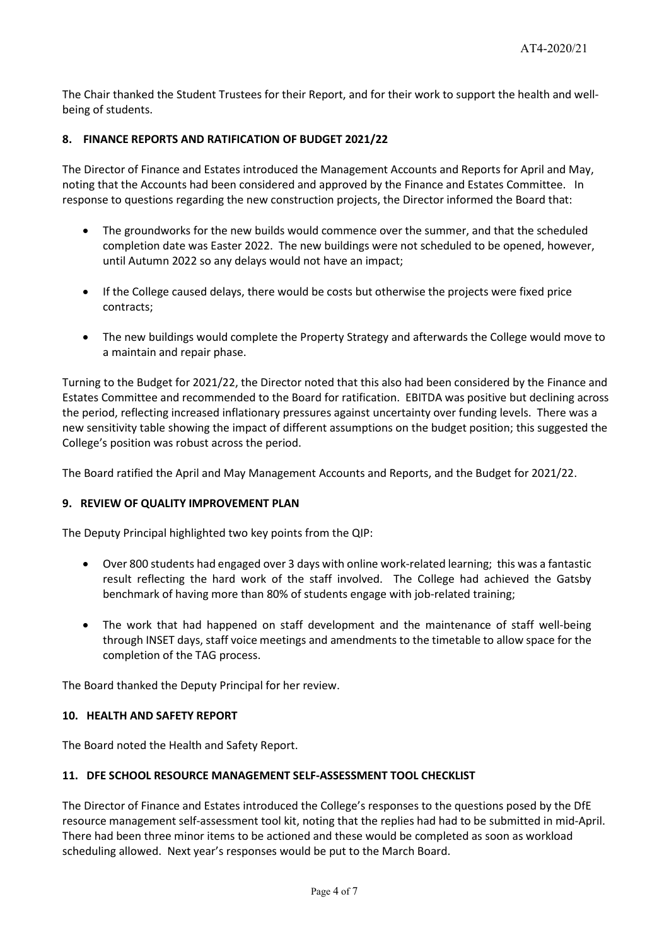The Chair thanked the Student Trustees for their Report, and for their work to support the health and wellbeing of students.

# **8. FINANCE REPORTS AND RATIFICATION OF BUDGET 2021/22**

The Director of Finance and Estates introduced the Management Accounts and Reports for April and May, noting that the Accounts had been considered and approved by the Finance and Estates Committee. In response to questions regarding the new construction projects, the Director informed the Board that:

- The groundworks for the new builds would commence over the summer, and that the scheduled completion date was Easter 2022. The new buildings were not scheduled to be opened, however, until Autumn 2022 so any delays would not have an impact;
- If the College caused delays, there would be costs but otherwise the projects were fixed price contracts;
- The new buildings would complete the Property Strategy and afterwards the College would move to a maintain and repair phase.

Turning to the Budget for 2021/22, the Director noted that this also had been considered by the Finance and Estates Committee and recommended to the Board for ratification. EBITDA was positive but declining across the period, reflecting increased inflationary pressures against uncertainty over funding levels. There was a new sensitivity table showing the impact of different assumptions on the budget position; this suggested the College's position was robust across the period.

The Board ratified the April and May Management Accounts and Reports, and the Budget for 2021/22.

# **9. REVIEW OF QUALITY IMPROVEMENT PLAN**

The Deputy Principal highlighted two key points from the QIP:

- Over 800 students had engaged over 3 days with online work-related learning; this was a fantastic result reflecting the hard work of the staff involved. The College had achieved the Gatsby benchmark of having more than 80% of students engage with job-related training;
- The work that had happened on staff development and the maintenance of staff well-being through INSET days, staff voice meetings and amendments to the timetable to allow space for the completion of the TAG process.

The Board thanked the Deputy Principal for her review.

# **10. HEALTH AND SAFETY REPORT**

The Board noted the Health and Safety Report.

# **11. DFE SCHOOL RESOURCE MANAGEMENT SELF-ASSESSMENT TOOL CHECKLIST**

The Director of Finance and Estates introduced the College's responses to the questions posed by the DfE resource management self-assessment tool kit, noting that the replies had had to be submitted in mid-April. There had been three minor items to be actioned and these would be completed as soon as workload scheduling allowed. Next year's responses would be put to the March Board.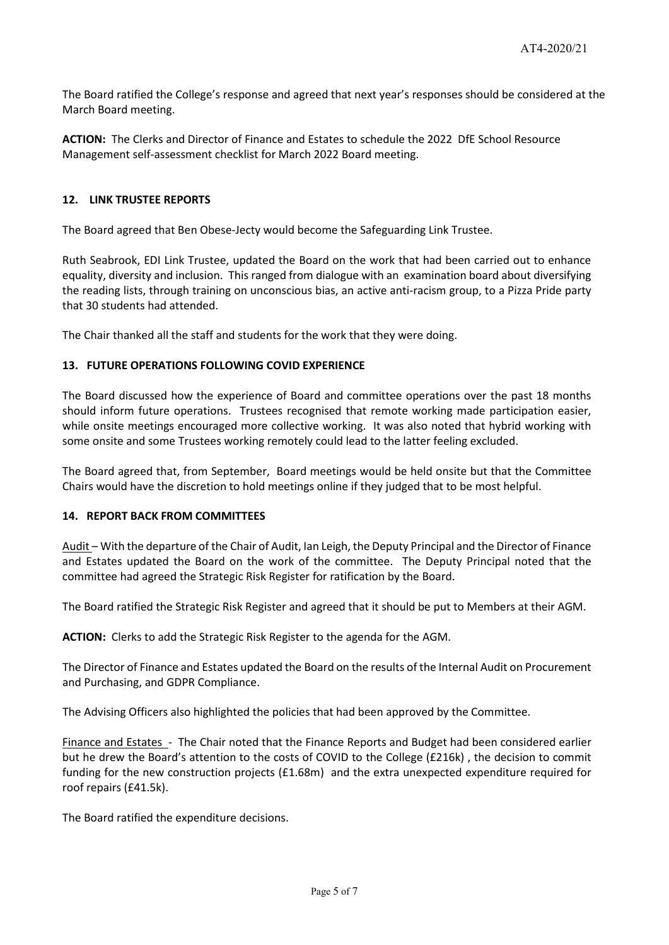The Board ratified the College's response and agreed that next year's responses should be considered at the March Board meeting.

**ACTION:** The Clerks and Director of Finance and Estates to schedule the 2022 DfE School Resource Management self-assessment checklist for March 2022 Board meeting.

### **12. LINK TRUSTEE REPORTS**

The Board agreed that Ben Obese-Jecty would become the Safeguarding Link Trustee.

Ruth Seabrook, EDI Link Trustee, updated the Board on the work that had been carried out to enhance equality, diversity and inclusion. This ranged from dialogue with an examination board about diversifying the reading lists, through training on unconscious bias, an active anti-racism group, to a Pizza Pride party that 30 students had attended.

The Chair thanked all the staff and students for the work that they were doing.

### **13. FUTURE OPERATIONS FOLLOWING COVID EXPERIENCE**

The Board discussed how the experience of Board and committee operations over the past 18 months should inform future operations. Trustees recognised that remote working made participation easier, while onsite meetings encouraged more collective working. It was also noted that hybrid working with some onsite and some Trustees working remotely could lead to the latter feeling excluded.

The Board agreed that, from September, Board meetings would be held onsite but that the Committee Chairs would have the discretion to hold meetings online if they judged that to be most helpful.

#### **14. REPORT BACK FROM COMMITTEES**

Audit – With the departure of the Chair of Audit, Ian Leigh, the Deputy Principal and the Director of Finance and Estates updated the Board on the work of the committee. The Deputy Principal noted that the committee had agreed the Strategic Risk Register for ratification by the Board.

The Board ratified the Strategic Risk Register and agreed that it should be put to Members at their AGM.

**ACTION:** Clerks to add the Strategic Risk Register to the agenda for the AGM.

The Director of Finance and Estates updated the Board on the results of the Internal Audit on Procurement and Purchasing, and GDPR Compliance.

The Advising Officers also highlighted the policies that had been approved by the Committee.

Finance and Estates - The Chair noted that the Finance Reports and Budget had been considered earlier but he drew the Board's attention to the costs of COVID to the College (£216k) , the decision to commit funding for the new construction projects (£1.68m) and the extra unexpected expenditure required for roof repairs (£41.5k).

The Board ratified the expenditure decisions.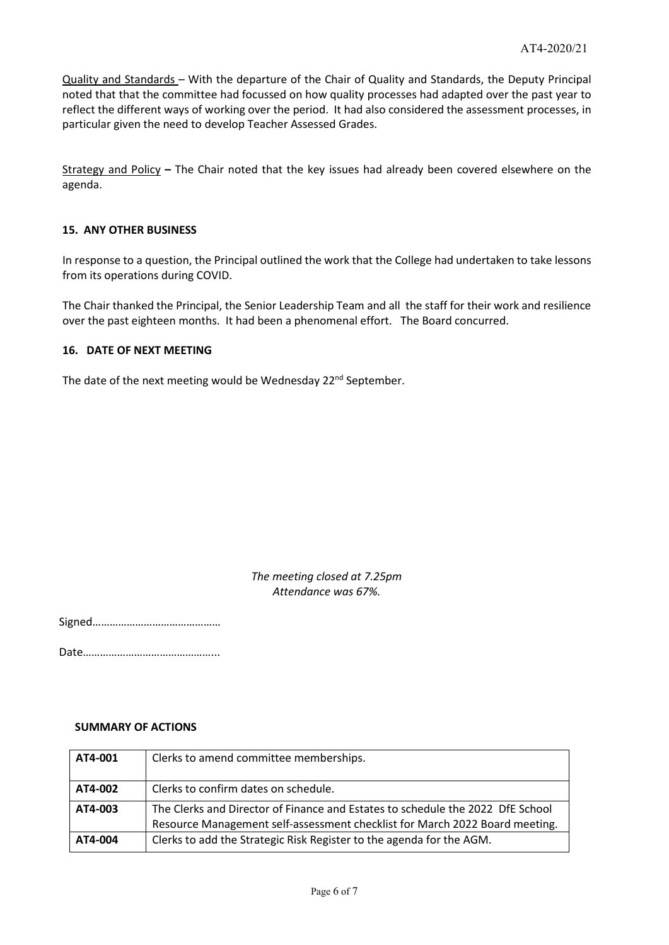Quality and Standards – With the departure of the Chair of Quality and Standards, the Deputy Principal noted that that the committee had focussed on how quality processes had adapted over the past year to reflect the different ways of working over the period. It had also considered the assessment processes, in particular given the need to develop Teacher Assessed Grades.

Strategy and Policy **–** The Chair noted that the key issues had already been covered elsewhere on the agenda.

### **15. ANY OTHER BUSINESS**

In response to a question, the Principal outlined the work that the College had undertaken to take lessons from its operations during COVID.

The Chair thanked the Principal, the Senior Leadership Team and all the staff for their work and resilience over the past eighteen months. It had been a phenomenal effort. The Board concurred.

### **16. DATE OF NEXT MEETING**

The date of the next meeting would be Wednesday 22<sup>nd</sup> September.

# *The meeting closed at 7.25pm Attendance was 67%.*

Signed………………………………………

Date………………………………………...

#### **SUMMARY OF ACTIONS**

| AT4-001 | Clerks to amend committee memberships.                                                                                                                        |
|---------|---------------------------------------------------------------------------------------------------------------------------------------------------------------|
| AT4-002 | Clerks to confirm dates on schedule.                                                                                                                          |
| AT4-003 | The Clerks and Director of Finance and Estates to schedule the 2022 DfE School<br>Resource Management self-assessment checklist for March 2022 Board meeting. |
| AT4-004 | Clerks to add the Strategic Risk Register to the agenda for the AGM.                                                                                          |